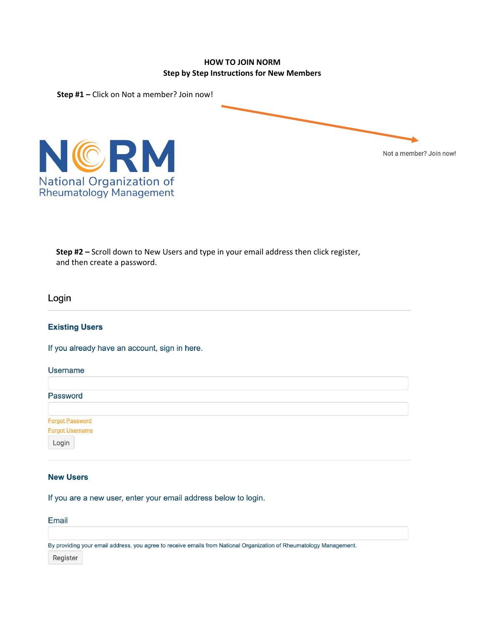## **HOW TO JOIN NORM Step by Step Instructions for New Members**



**Step #2 –** Scroll down to New Users and type in your email address then click register, and then create a password.

## Login

### **Existing Users**

If you already have an account, sign in here.

| <b>Username</b>                    |  |  |  |
|------------------------------------|--|--|--|
| Password                           |  |  |  |
| Forgot Password<br>Forgot Username |  |  |  |
| Login                              |  |  |  |

# **New Users**

If you are a new user, enter your email address below to login.

| Email    |                                                                                                                     |
|----------|---------------------------------------------------------------------------------------------------------------------|
|          |                                                                                                                     |
|          | By providing your email address, you agree to receive emails from National Organization of Rheumatology Management. |
| Register |                                                                                                                     |